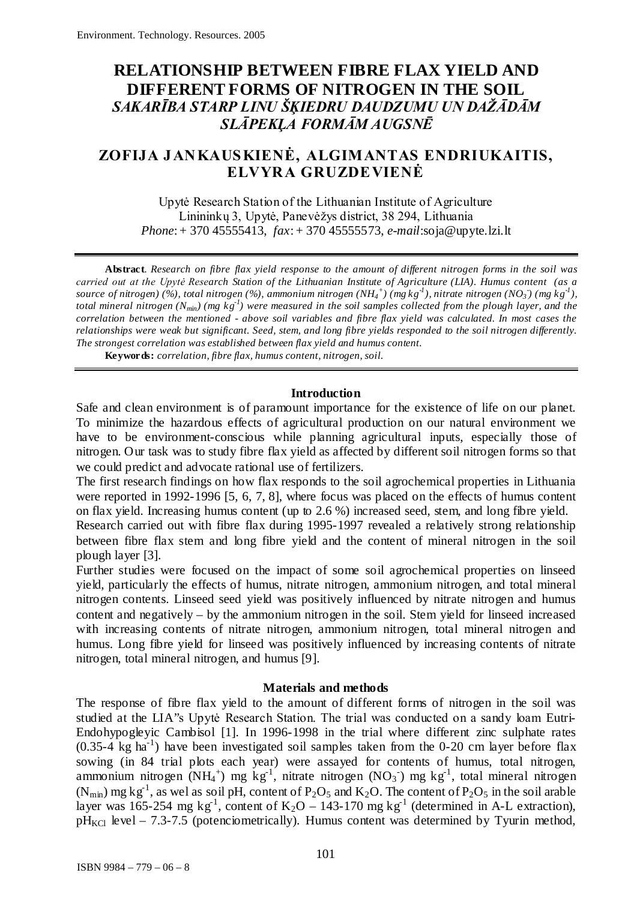# **RELATIONSHIP BETWEEN FIBRE FLAX YIELD AND DIFFERENT FORMS OF NITROGEN IN THE SOIL** *SAKARĪBA STARP LINU ŠĶIEDRU DAUDZUMU UN DAŽĀDĀM SLĀPEKĻA FORMĀM AUGSNĒ*

# **ZOFIJA JANKAUSKIENĖ, ALGIMANTAS ENDRIUKAITIS, ELVYRA GRUZDEVIENĖ**

Upytė Research Station of the Lithuanian Institute of Agriculture Linininkų 3, Upytė, Panevėžys district, 38 294, Lithuania *Phone*: + 370 45555413, *fax*: + 370 45555573, *e-mail*:soja@upyte.lzi.lt

**Abstract**. *Research on fibre flax yield response to the amount of different nitrogen forms in the soil was carried out at the Upytė Research Station of the Lithuanian Institute of Agriculture (LIA). Humus content (as a source of nitrogen)* (%), total nitrogen (%), ammonium nitrogen (NH<sub>4</sub><sup>+</sup>) (mg kg<sup>-1</sup>), nitrate nitrogen (NO<sub>3</sub>) (mg kg<sup>-1</sup>), *total mineral nitrogen (Nmin) (mg kg-1 ) were measured in the soil samples collected from the plough layer, and the correlation between the mentioned - above soil variables and fibre flax yield was calculated. In most cases the relationships were weak but significant. Seed, stem, and long fibre yields responded to the soil nitrogen differently. The strongest correlation was established between flax yield and humus content.* 

**Keywords:** *correlation, fibre flax, humus content, nitrogen, soil.*

### **Introduction**

Safe and clean environment is of paramount importance for the existence of life on our planet. To minimize the hazardous effects of agricultural production on our natural environment we have to be environment-conscious while planning agricultural inputs, especially those of nitrogen. Our task was to study fibre flax yield as affected by different soil nitrogen forms so that we could predict and advocate rational use of fertilizers.

The first research findings on how flax responds to the soil agrochemical properties in Lithuania were reported in 1992-1996 [5, 6, 7, 8], where focus was placed on the effects of humus content on flax yield. Increasing humus content (up to 2.6 %) increased seed, stem, and long fibre yield.

Research carried out with fibre flax during 1995-1997 revealed a relatively strong relationship between fibre flax stem and long fibre yield and the content of mineral nitrogen in the soil plough layer [3].

Further studies were focused on the impact of some soil agrochemical properties on linseed yield, particularly the effects of humus, nitrate nitrogen, ammonium nitrogen, and total mineral nitrogen contents. Linseed seed yield was positively influenced by nitrate nitrogen and humus content and negatively – by the ammonium nitrogen in the soil. Stem yield for linseed increased with increasing contents of nitrate nitrogen, ammonium nitrogen, total mineral nitrogen and humus. Long fibre yield for linseed was positively influenced by increasing contents of nitrate nitrogen, total mineral nitrogen, and humus [9].

### **Materials and methods**

The response of fibre flax yield to the amount of different forms of nitrogen in the soil was studied at the LIA"s Upytė Research Station. The trial was conducted on a sandy loam Eutri-Endohypogleyic Cambisol [1]. In 1996-1998 in the trial where different zinc sulphate rates  $(0.35-4 \text{ kg ha}^{-1})$  have been investigated soil samples taken from the 0-20 cm layer before flax sowing (in 84 trial plots each year) were assayed for contents of humus, total nitrogen, ammonium nitrogen (NH<sub>4</sub><sup>+</sup>) mg kg<sup>-1</sup>, nitrate nitrogen (NO<sub>3</sub><sup>-</sup>) mg kg<sup>-1</sup>, total mineral nitrogen (N<sub>min</sub>) mg kg<sup>-1</sup>, as wel as soil pH, content of P<sub>2</sub>O<sub>5</sub> and K<sub>2</sub>O. The content of P<sub>2</sub>O<sub>5</sub> in the soil arable layer was 165-254 mg kg<sup>-1</sup>, content of K<sub>2</sub>O – 143-170 mg kg<sup>-1</sup> (determined in A-L extraction),  $pH_{\text{KCl}}$  level – 7.3-7.5 (potenciometrically). Humus content was determined by Tyurin method,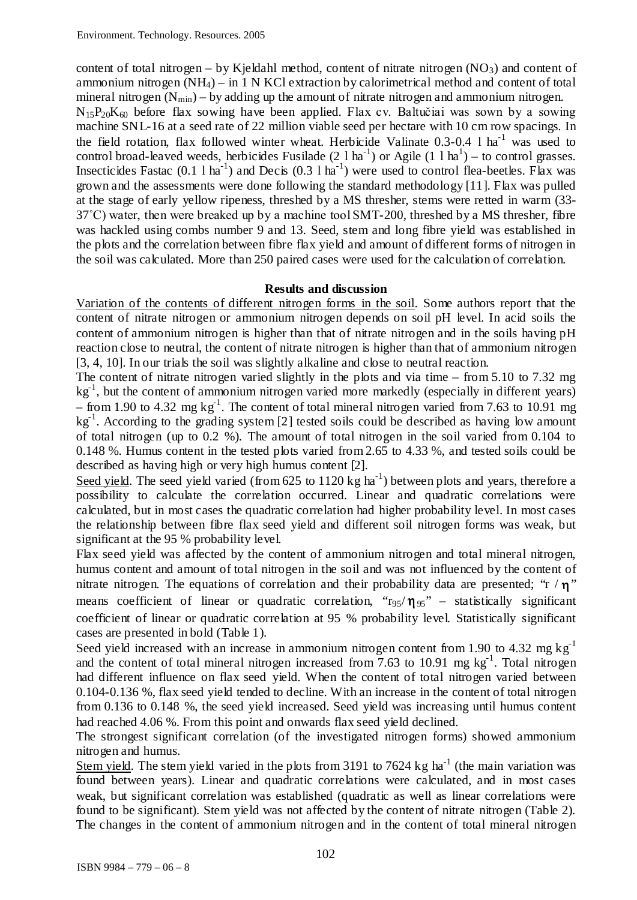content of total nitrogen – by Kjeldahl method, content of nitrate nitrogen  $(NO_3)$  and content of ammonium nitrogen  $(NH_4)$  – in 1 N KCl extraction by calorimetrical method and content of total mineral nitrogen  $(N_{min})$  – by adding up the amount of nitrate nitrogen and ammonium nitrogen.

 $N_{15}P_{20}K_{60}$  before flax sowing have been applied. Flax cv. Baltučiai was sown by a sowing machine SNL-16 at a seed rate of 22 million viable seed per hectare with 10 cm row spacings. In the field rotation, flax followed winter wheat. Herbicide Valinate  $0.3$ - $0.4$  l ha<sup>-1</sup> was used to control broad-leaved weeds, herbicides Fusilade  $(2 \ 1 \text{ ha}^{-1})$  or Agile  $(1 \ 1 \text{ ha}^1)$  – to control grasses. Insecticides Fastac  $(0.1 \text{ 1 ha}^{-1})$  and Decis  $(0.3 \text{ 1 ha}^{-1})$  were used to control flea-beetles. Flax was grown and the assessments were done following the standard methodology [11]. Flax was pulled at the stage of early yellow ripeness, threshed by a MS thresher, stems were retted in warm (33-  $37^{\circ}$ C) water, then were breaked up by a machine tool SMT-200, threshed by a MS thresher, fibre was hackled using combs number 9 and 13. Seed, stem and long fibre yield was established in the plots and the correlation between fibre flax yield and amount of different forms of nitrogen in the soil was calculated. More than 250 paired cases were used for the calculation of correlation.

### **Results and discussion**

Variation of the contents of different nitrogen forms in the soil. Some authors report that the content of nitrate nitrogen or ammonium nitrogen depends on soil pH level. In acid soils the content of ammonium nitrogen is higher than that of nitrate nitrogen and in the soils having pH reaction close to neutral, the content of nitrate nitrogen is higher than that of ammonium nitrogen [3, 4, 10]. In our trials the soil was slightly alkaline and close to neutral reaction.

The content of nitrate nitrogen varied slightly in the plots and via time – from 5.10 to 7.32 mg kg<sup>-1</sup>, but the content of ammonium nitrogen varied more markedly (especially in different years)  $-$  from 1.90 to 4.32 mg  $kg^{-1}$ . The content of total mineral nitrogen varied from 7.63 to 10.91 mg kg<sup>-1</sup>. According to the grading system [2] tested soils could be described as having low amount of total nitrogen (up to 0.2 %). The amount of total nitrogen in the soil varied from 0.104 to 0.148 %. Humus content in the tested plots varied from 2.65 to 4.33 %, and tested soils could be described as having high or very high humus content [2].

Seed yield. The seed yield varied (from  $625$  to  $1120$  kg ha<sup>-1</sup>) between plots and years, therefore a possibility to calculate the correlation occurred. Linear and quadratic correlations were calculated, but in most cases the quadratic correlation had higher probability level. In most cases the relationship between fibre flax seed yield and different soil nitrogen forms was weak, but significant at the 95 % probability level.

Flax seed yield was affected by the content of ammonium nitrogen and total mineral nitrogen, humus content and amount of total nitrogen in the soil and was not influenced by the content of nitrate nitrogen. The equations of correlation and their probability data are presented; "r / $\eta$ " means coefficient of linear or quadratic correlation, " $r_{95}/\eta_{95}$ " – statistically significant coefficient of linear or quadratic correlation at 95 % probability level. Statistically significant cases are presented in bold (Table 1).

Seed yield increased with an increase in ammonium nitrogen content from 1.90 to 4.32 mg kg<sup>-1</sup> and the content of total mineral nitrogen increased from  $7.63$  to 10.91 mg kg<sup>-1</sup>. Total nitrogen had different influence on flax seed yield. When the content of total nitrogen varied between 0.104-0.136 %, flax seed yield tended to decline. With an increase in the content of total nitrogen from 0.136 to 0.148 %, the seed yield increased. Seed yield was increasing until humus content had reached 4.06 %. From this point and onwards flax seed yield declined.

The strongest significant correlation (of the investigated nitrogen forms) showed ammonium nitrogen and humus.

Stem yield. The stem yield varied in the plots from 3191 to 7624 kg ha<sup>-1</sup> (the main variation was found between years). Linear and quadratic correlations were calculated, and in most cases weak, but significant correlation was established (quadratic as well as linear correlations were found to be significant). Stem yield was not affected by the content of nitrate nitrogen (Table 2). The changes in the content of ammonium nitrogen and in the content of total mineral nitrogen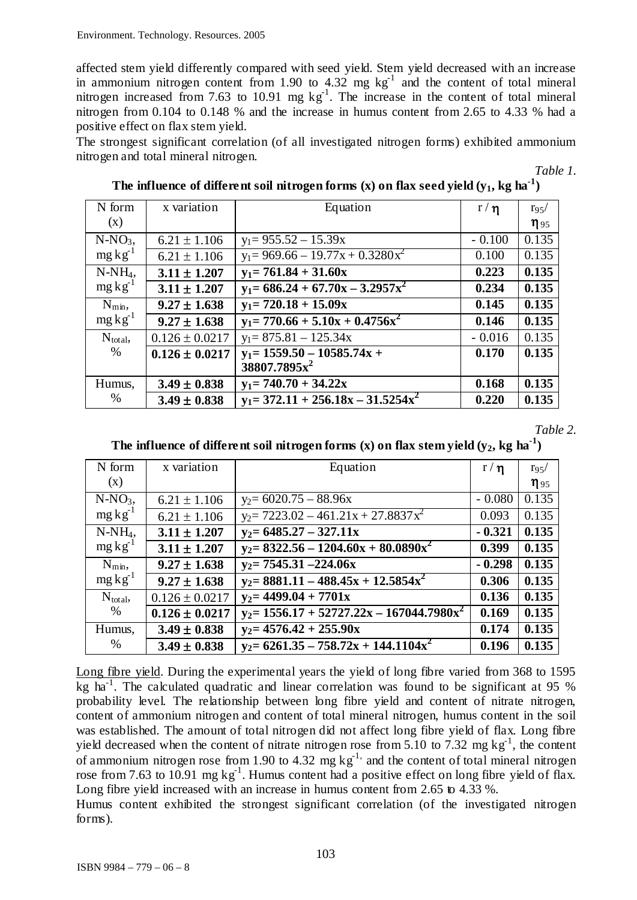affected stem yield differently compared with seed yield. Stem yield decreased with an increase in ammonium nitrogen content from 1.90 to 4.32 mg  $kg^{-1}$  and the content of total mineral nitrogen increased from 7.63 to 10.91 mg  $kg^{-1}$ . The increase in the content of total mineral nitrogen from 0.104 to 0.148 % and the increase in humus content from 2.65 to 4.33 % had a positive effect on flax stem yield.

The strongest significant correlation (of all investigated nitrogen forms) exhibited ammonium nitrogen and total mineral nitrogen.

*Table 1.*

| N form          | x variation        | Equation                              | r/n      | $r_{95}/$   |
|-----------------|--------------------|---------------------------------------|----------|-------------|
| (x)             |                    |                                       |          | $\eta_{95}$ |
| $N-NO3$         | $6.21 \pm 1.106$   | $y_1 = 955.52 - 15.39x$               | $-0.100$ | 0.135       |
| $mg \, kg^{-1}$ | $6.21 \pm 1.106$   | $y_1 = 969.66 - 19.77x + 0.3280x^2$   | 0.100    | 0.135       |
| $N-NH_4$ ,      | $3.11 \pm 1.207$   | $y_1 = 761.84 + 31.60x$               | 0.223    | 0.135       |
| $mg \, kg^{-1}$ | $3.11 \pm 1.207$   | $y_1 = 686.24 + 67.70x - 3.2957x^2$   | 0.234    | 0.135       |
| $N_{min}$       | $9.27 \pm 1.638$   | $y_1 = 720.18 + 15.09x$               | 0.145    | 0.135       |
| $mg \, kg^{-1}$ | $9.27 \pm 1.638$   | $y_1 = 770.66 + 5.10x + 0.4756x^2$    | 0.146    | 0.135       |
| $N_{total}$     | $0.126 \pm 0.0217$ | $y_1 = 875.81 - 125.34x$              | $-0.016$ | 0.135       |
| %               | $0.126 \pm 0.0217$ | $y_1 = 1559.50 - 10585.74x +$         | 0.170    | 0.135       |
|                 |                    | 38807.7895x <sup>2</sup>              |          |             |
| Humus,          | $3.49 \pm 0.838$   | $y_1 = 740.70 + 34.22x$               | 0.168    | 0.135       |
| $\%$            | $3.49 \pm 0.838$   | $y_1 = 372.11 + 256.18x - 31.5254x^2$ | 0.220    | 0.135       |

The influence of different soil nitrogen forms  $(x)$  on flax seed yield  $(y_1,$  kg ha $^{-1})$ 

*Table 2.*

The influence of different soil nitrogen forms (x) on flax stem yield  $(y_2,$  kg ha<sup>-1</sup>)

| N form          | x variation        | Equation                                     | $r/\eta$ | $r_{95}/$   |
|-----------------|--------------------|----------------------------------------------|----------|-------------|
| (x)             |                    |                                              |          | $\eta_{95}$ |
| $N-NO_3$        | $6.21 \pm 1.106$   | $y_2 = 6020.75 - 88.96x$                     | $-0.080$ | 0.135       |
| $mg \, kg^{-1}$ | $6.21 \pm 1.106$   | $y_2 = 7223.02 - 461.21x + 27.8837x^2$       | 0.093    | 0.135       |
| $N-NH_4$ ,      | $3.11 \pm 1.207$   | $y_2 = 6485.27 - 327.11x$                    | $-0.321$ | 0.135       |
| $mg \, kg^{-1}$ | $3.11 \pm 1.207$   | $y_2 = 8322.56 - 1204.60x + 80.0890x^2$      | 0.399    | 0.135       |
| $N_{min}$       | $9.27 \pm 1.638$   | $y_2$ = 7545.31 -224.06x                     | $-0.298$ | 0.135       |
| $mg \, kg^{-1}$ | $9.27 \pm 1.638$   | $y_2 = 8881.11 - 488.45x + 12.5854x^2$       | 0.306    | 0.135       |
| $N_{total}$     | $0.126 \pm 0.0217$ | $y_2$ = 4499.04 + 7701x                      | 0.136    | 0.135       |
| %               | $0.126 \pm 0.0217$ | $y_2 = 1556.17 + 52727.22x - 167044.7980x^2$ | 0.169    | 0.135       |
| Humus,          | $3.49 \pm 0.838$   | $y_2 = 4576.42 + 255.90x$                    | 0.174    | 0.135       |
| %               | $3.49 \pm 0.838$   | $y_2 = 6261.35 - 758.72x + 144.1104x^2$      | 0.196    | 0.135       |

Long fibre yield. During the experimental years the yield of long fibre varied from 368 to 1595 kg ha<sup>-1</sup>. The calculated quadratic and linear correlation was found to be significant at 95 % probability level. The relationship between long fibre yield and content of nitrate nitrogen, content of ammonium nitrogen and content of total mineral nitrogen, humus content in the soil was established. The amount of total nitrogen did not affect long fibre yield of flax. Long fibre yield decreased when the content of nitrate nitrogen rose from 5.10 to 7.32 mg  $kg^{-1}$ , the content of ammonium nitrogen rose from 1.90 to 4.32 mg  $kg^{-1}$ , and the content of total mineral nitrogen rose from 7.63 to 10.91 mg  $kg^{-1}$ . Humus content had a positive effect on long fibre yield of flax. Long fibre yield increased with an increase in humus content from 2.65 to 4.33 %.

Humus content exhibited the strongest significant correlation (of the investigated nitrogen forms).